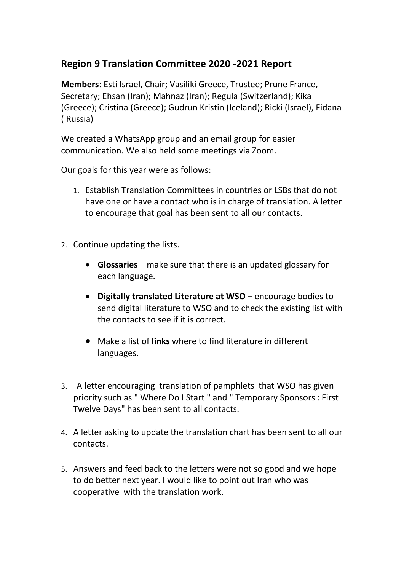## **Region 9 Translation Committee 2020 -2021 Report**

**Members**: Esti Israel, Chair; Vasiliki Greece, Trustee; Prune France, Secretary; Ehsan (Iran); Mahnaz (Iran); Regula (Switzerland); Kika (Greece); Cristina (Greece); Gudrun Kristin (Iceland); Ricki (Israel), Fidana ( Russia)

We created a WhatsApp group and an email group for easier communication. We also held some meetings via Zoom.

Our goals for this year were as follows:

- 1. Establish Translation Committees in countries or LSBs that do not have one or have a contact who is in charge of translation. A letter to encourage that goal has been sent to all our contacts.
- 2. Continue updating the lists.
	- **Glossaries** make sure that there is an updated glossary for each language.
	- **Digitally translated Literature at WSO** encourage bodies to send digital literature to WSO and to check the existing list with the contacts to see if it is correct.
	- Make a list of **links** where to find literature in different languages.
- 3. A letter encouraging translation of pamphlets that WSO has given priority such as " Where Do I Start " and " Temporary Sponsors': First Twelve Days" has been sent to all contacts.
- 4. A letter asking to update the translation chart has been sent to all our contacts.
- 5. Answers and feed back to the letters were not so good and we hope to do better next year. I would like to point out Iran who was cooperative with the translation work.